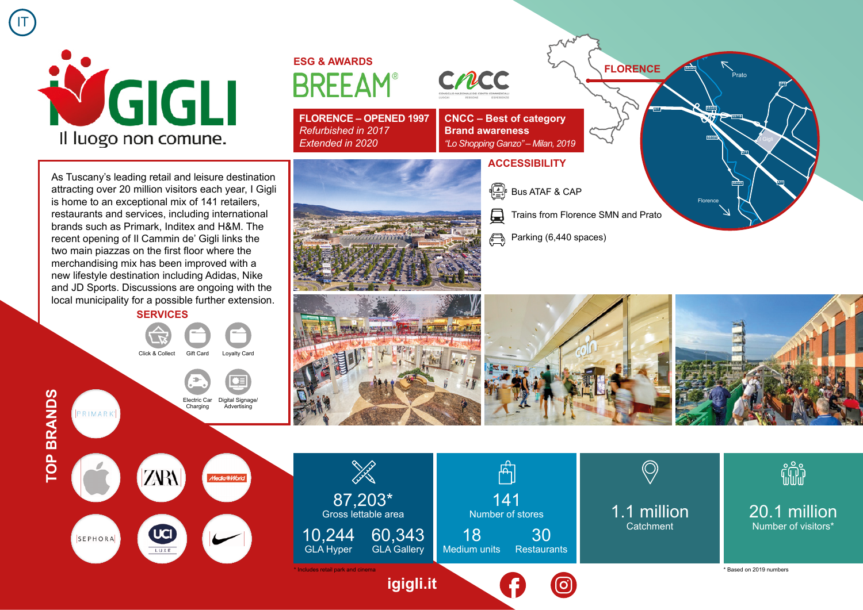

## **ESG & AWARDS BRFFAM**

**FLORENCE – OPENED 1997**  *Refurbished in 2017 Extended in 2020*



**CNCC – Best of category Brand awareness** *"Lo Shopping Ganzo" – Milan, 2019*

## **ACCESSIBILITY**

- $\begin{bmatrix} \begin{matrix} \begin{matrix} \mathbb{R} \\ \mathbb{R} \end{matrix} \end{bmatrix}$  Bus ATAF & CAP
- 員 Trains from Florence SMN and Prato
- Parking (6,440 spaces)

As Tuscany's leading retail and leisure destination attracting over 20 million visitors each year, I Gigli is home to an exceptional mix of 141 retailers, restaurants and services, including international brands such as Primark, Inditex and H&M. The recent opening of Il Cammin de' Gigli links the two main piazzas on the first floor where the merchandising mix has been improved with a new lifestyle destination including Adidas, Nike and JD Sports. Discussions are ongoing with the local municipality for a possible further extension. **SERVICES**

Click & Collect Gift Card Loyalty Card

Electric Car Digital Signage/

**Advertising** 

Charging

**Time, National C** 

**Florence** 

**SS325**

**SS325**

.<br>Prato

**SP8**

**A11**

**SS719**

**SS325**

**A11**

**FLORENCE**

**A11**



**TOP BRANDS TOP BRANDS**

PRIMARK

IT